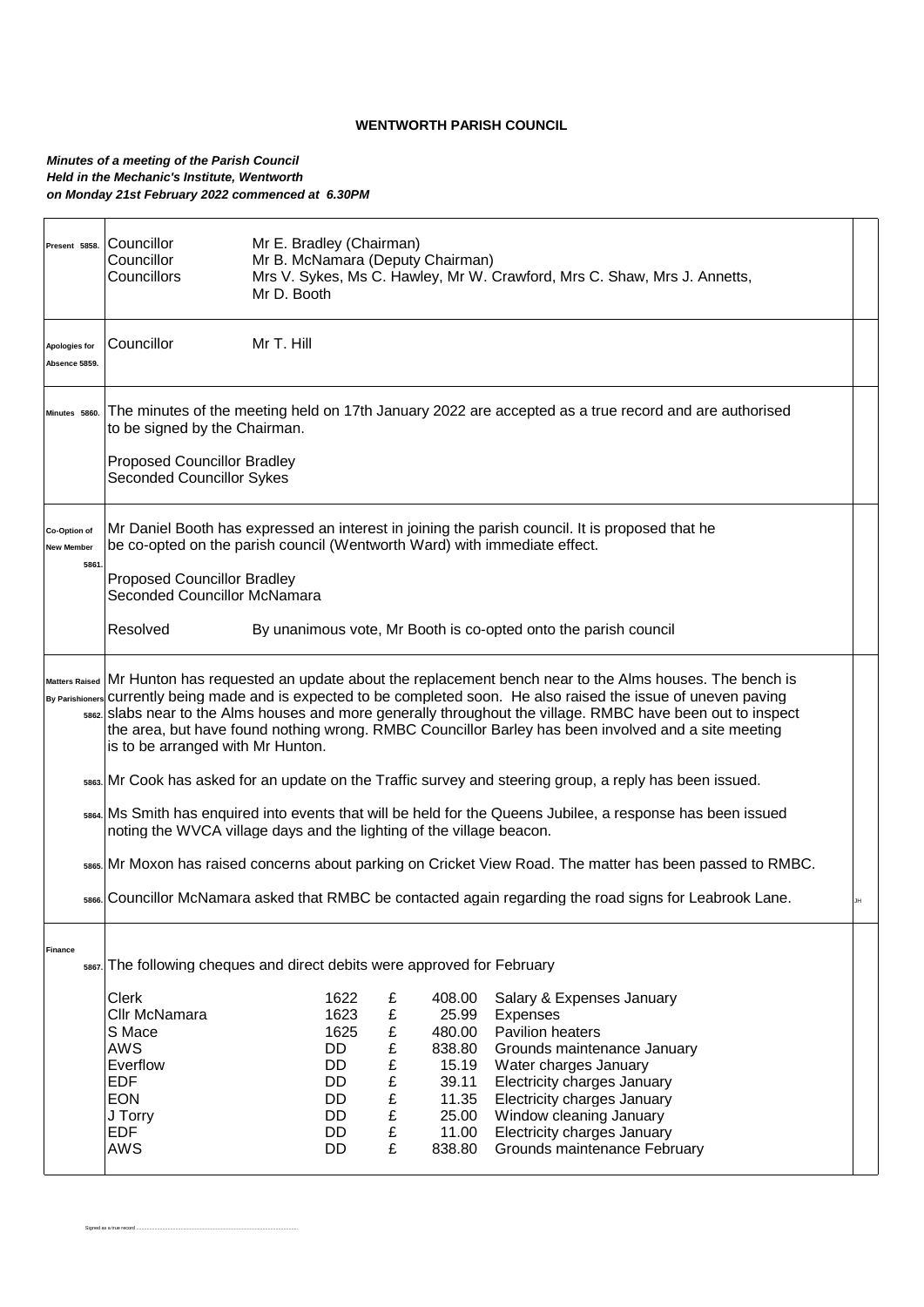## **WENTWORTH PARISH COUNCIL**

## *Minutes of a meeting of the Parish Council Held in the Mechanic's Institute, Wentworth on Monday 21st February 2022 commenced at 6.30PM*

Signed as a true record ............................................................................................................................

| Present 5858.                     | Councillor<br>Councillor<br>Councillors                                                                                                                                                                                                                                                                                                                                                                                                                                                                | Mr E. Bradley (Chairman)<br>Mr B. McNamara (Deputy Chairman)<br>Mr D. Booth |                           |                 | Mrs V. Sykes, Ms C. Hawley, Mr W. Crawford, Mrs C. Shaw, Mrs J. Annetts, |  |  |  |
|-----------------------------------|--------------------------------------------------------------------------------------------------------------------------------------------------------------------------------------------------------------------------------------------------------------------------------------------------------------------------------------------------------------------------------------------------------------------------------------------------------------------------------------------------------|-----------------------------------------------------------------------------|---------------------------|-----------------|--------------------------------------------------------------------------|--|--|--|
| Apologies for<br>Absence 5859.    | Councillor                                                                                                                                                                                                                                                                                                                                                                                                                                                                                             | Mr T. Hill                                                                  |                           |                 |                                                                          |  |  |  |
| Minutes 5860.                     | The minutes of the meeting held on 17th January 2022 are accepted as a true record and are authorised<br>to be signed by the Chairman.                                                                                                                                                                                                                                                                                                                                                                 |                                                                             |                           |                 |                                                                          |  |  |  |
|                                   | <b>Proposed Councillor Bradley</b><br><b>Seconded Councillor Sykes</b>                                                                                                                                                                                                                                                                                                                                                                                                                                 |                                                                             |                           |                 |                                                                          |  |  |  |
| Co-Option of<br><b>New Member</b> | Mr Daniel Booth has expressed an interest in joining the parish council. It is proposed that he<br>be co-opted on the parish council (Wentworth Ward) with immediate effect.                                                                                                                                                                                                                                                                                                                           |                                                                             |                           |                 |                                                                          |  |  |  |
| 5861                              | <b>Proposed Councillor Bradley</b><br>Seconded Councillor McNamara                                                                                                                                                                                                                                                                                                                                                                                                                                     |                                                                             |                           |                 |                                                                          |  |  |  |
|                                   | Resolved                                                                                                                                                                                                                                                                                                                                                                                                                                                                                               |                                                                             |                           |                 | By unanimous vote, Mr Booth is co-opted onto the parish council          |  |  |  |
|                                   | Matters Raised Mr Hunton has requested an update about the replacement bench near to the Alms houses. The bench is<br>By Parishioners currently being made and is expected to be completed soon. He also raised the issue of uneven paving<br>ssez. Slabs near to the Alms houses and more generally throughout the village. RMBC have been out to inspect<br>the area, but have found nothing wrong. RMBC Councillor Barley has been involved and a site meeting<br>is to be arranged with Mr Hunton. |                                                                             |                           |                 |                                                                          |  |  |  |
|                                   | sses. Mr Cook has asked for an update on the Traffic survey and steering group, a reply has been issued.                                                                                                                                                                                                                                                                                                                                                                                               |                                                                             |                           |                 |                                                                          |  |  |  |
|                                   | ssea. Ms Smith has enquired into events that will be held for the Queens Jubilee, a response has been issued<br>noting the WVCA village days and the lighting of the village beacon.                                                                                                                                                                                                                                                                                                                   |                                                                             |                           |                 |                                                                          |  |  |  |
|                                   | sses. Mr Moxon has raised concerns about parking on Cricket View Road. The matter has been passed to RMBC.                                                                                                                                                                                                                                                                                                                                                                                             |                                                                             |                           |                 |                                                                          |  |  |  |
|                                   | sses. Councillor McNamara asked that RMBC be contacted again regarding the road signs for Leabrook Lane.<br>JH                                                                                                                                                                                                                                                                                                                                                                                         |                                                                             |                           |                 |                                                                          |  |  |  |
| Finance<br>5867                   | The following cheques and direct debits were approved for February                                                                                                                                                                                                                                                                                                                                                                                                                                     |                                                                             |                           |                 |                                                                          |  |  |  |
|                                   | Clerk<br>Cllr McNamara                                                                                                                                                                                                                                                                                                                                                                                                                                                                                 | 1622<br>1623                                                                | £<br>£                    | 408.00<br>25.99 | Salary & Expenses January<br>Expenses                                    |  |  |  |
|                                   | S Mace                                                                                                                                                                                                                                                                                                                                                                                                                                                                                                 | 1625                                                                        | $\pmb{\mathfrak{L}}$      | 480.00          | Pavilion heaters                                                         |  |  |  |
|                                   | <b>AWS</b>                                                                                                                                                                                                                                                                                                                                                                                                                                                                                             | DD                                                                          | £                         | 838.80          | Grounds maintenance January                                              |  |  |  |
|                                   | Everflow                                                                                                                                                                                                                                                                                                                                                                                                                                                                                               | DD                                                                          | £                         | 15.19           | Water charges January                                                    |  |  |  |
|                                   | <b>EDF</b><br><b>EON</b>                                                                                                                                                                                                                                                                                                                                                                                                                                                                               | DD<br>DD                                                                    | £<br>$\pmb{\mathfrak{L}}$ | 39.11<br>11.35  | Electricity charges January<br>Electricity charges January               |  |  |  |
|                                   | J Torry                                                                                                                                                                                                                                                                                                                                                                                                                                                                                                | DD                                                                          | £                         | 25.00           | Window cleaning January                                                  |  |  |  |
|                                   | <b>EDF</b>                                                                                                                                                                                                                                                                                                                                                                                                                                                                                             | DD                                                                          | £                         | 11.00           | Electricity charges January                                              |  |  |  |
|                                   | £<br>AWS<br>Grounds maintenance February<br>DD<br>838.80                                                                                                                                                                                                                                                                                                                                                                                                                                               |                                                                             |                           |                 |                                                                          |  |  |  |
|                                   |                                                                                                                                                                                                                                                                                                                                                                                                                                                                                                        |                                                                             |                           |                 |                                                                          |  |  |  |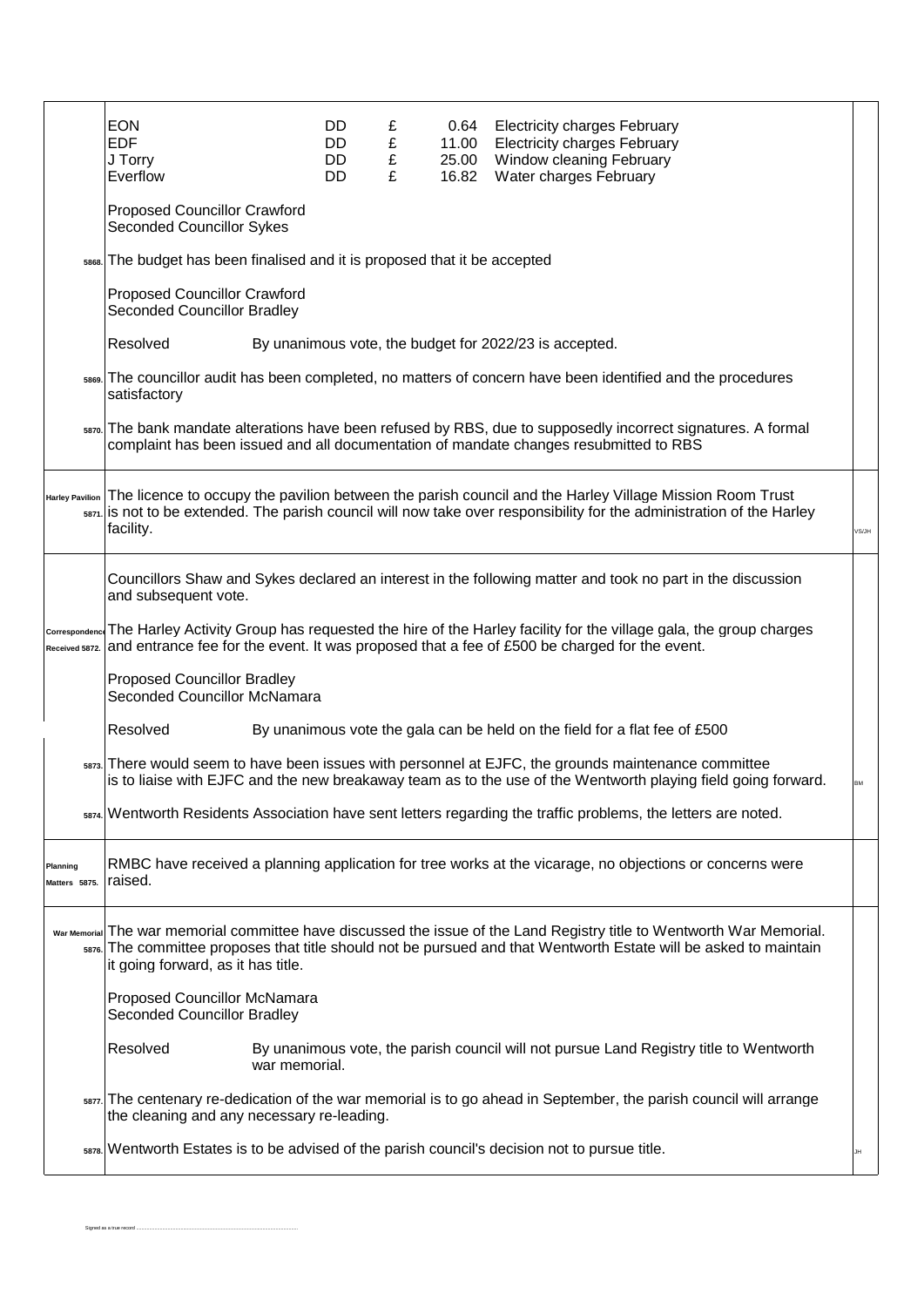|                           | <b>EON</b><br><b>EDF</b><br>J Torry<br>Everflow                                                                                                                                                                                                                                   |               | DD.<br>DD<br>DD<br>DD. | £<br>£<br>£<br>£ | 0.64<br>11.00<br>25.00<br>16.82 | <b>Electricity charges February</b><br><b>Electricity charges February</b><br>Window cleaning February<br>Water charges February                                                                                                              |  |  |  |
|---------------------------|-----------------------------------------------------------------------------------------------------------------------------------------------------------------------------------------------------------------------------------------------------------------------------------|---------------|------------------------|------------------|---------------------------------|-----------------------------------------------------------------------------------------------------------------------------------------------------------------------------------------------------------------------------------------------|--|--|--|
|                           | <b>Proposed Councillor Crawford</b><br><b>Seconded Councillor Sykes</b>                                                                                                                                                                                                           |               |                        |                  |                                 |                                                                                                                                                                                                                                               |  |  |  |
|                           | 5868. The budget has been finalised and it is proposed that it be accepted                                                                                                                                                                                                        |               |                        |                  |                                 |                                                                                                                                                                                                                                               |  |  |  |
|                           | <b>Proposed Councillor Crawford</b><br>Seconded Councillor Bradley                                                                                                                                                                                                                |               |                        |                  |                                 |                                                                                                                                                                                                                                               |  |  |  |
|                           | Resolved<br>By unanimous vote, the budget for 2022/23 is accepted.                                                                                                                                                                                                                |               |                        |                  |                                 |                                                                                                                                                                                                                                               |  |  |  |
|                           | sees. The councillor audit has been completed, no matters of concern have been identified and the procedures<br>satisfactory                                                                                                                                                      |               |                        |                  |                                 |                                                                                                                                                                                                                                               |  |  |  |
|                           | saro. The bank mandate alterations have been refused by RBS, due to supposedly incorrect signatures. A formal<br>complaint has been issued and all documentation of mandate changes resubmitted to RBS                                                                            |               |                        |                  |                                 |                                                                                                                                                                                                                                               |  |  |  |
|                           | Harley Pavilion The licence to occupy the pavilion between the parish council and the Harley Village Mission Room Trust<br>$\frac{1}{2}$ san. is not to be extended. The parish council will now take over responsibility for the administration of the Harley<br>facility.       |               |                        |                  |                                 |                                                                                                                                                                                                                                               |  |  |  |
|                           | Councillors Shaw and Sykes declared an interest in the following matter and took no part in the discussion<br>and subsequent vote.                                                                                                                                                |               |                        |                  |                                 |                                                                                                                                                                                                                                               |  |  |  |
|                           |                                                                                                                                                                                                                                                                                   |               |                        |                  |                                 | correspondence The Harley Activity Group has requested the hire of the Harley facility for the village gala, the group charges<br>Received 5872. and entrance fee for the event. It was proposed that a fee of £500 be charged for the event. |  |  |  |
|                           | <b>Proposed Councillor Bradley</b><br>Seconded Councillor McNamara                                                                                                                                                                                                                |               |                        |                  |                                 |                                                                                                                                                                                                                                               |  |  |  |
|                           | Resolved<br>By unanimous vote the gala can be held on the field for a flat fee of £500                                                                                                                                                                                            |               |                        |                  |                                 |                                                                                                                                                                                                                                               |  |  |  |
|                           | sars. There would seem to have been issues with personnel at EJFC, the grounds maintenance committee<br>is to liaise with EJFC and the new breakaway team as to the use of the Wentworth playing field going forward.                                                             |               |                        |                  |                                 |                                                                                                                                                                                                                                               |  |  |  |
|                           | sara. Wentworth Residents Association have sent letters regarding the traffic problems, the letters are noted.                                                                                                                                                                    |               |                        |                  |                                 |                                                                                                                                                                                                                                               |  |  |  |
| Planning<br>Matters 5875. | RMBC have received a planning application for tree works at the vicarage, no objections or concerns were<br>raised.                                                                                                                                                               |               |                        |                  |                                 |                                                                                                                                                                                                                                               |  |  |  |
|                           | War Memorial The war memorial committee have discussed the issue of the Land Registry title to Wentworth War Memorial.<br>sars. The committee proposes that title should not be pursued and that Wentworth Estate will be asked to maintain<br>it going forward, as it has title. |               |                        |                  |                                 |                                                                                                                                                                                                                                               |  |  |  |
|                           | Proposed Councillor McNamara<br>Seconded Councillor Bradley                                                                                                                                                                                                                       |               |                        |                  |                                 |                                                                                                                                                                                                                                               |  |  |  |
|                           | Resolved                                                                                                                                                                                                                                                                          | war memorial. |                        |                  |                                 | By unanimous vote, the parish council will not pursue Land Registry title to Wentworth                                                                                                                                                        |  |  |  |
|                           | sar. The centenary re-dedication of the war memorial is to go ahead in September, the parish council will arrange<br>the cleaning and any necessary re-leading.                                                                                                                   |               |                        |                  |                                 |                                                                                                                                                                                                                                               |  |  |  |
|                           |                                                                                                                                                                                                                                                                                   |               |                        |                  |                                 | sara. Wentworth Estates is to be advised of the parish council's decision not to pursue title.                                                                                                                                                |  |  |  |

Signed as a true record ............................................................................................................................